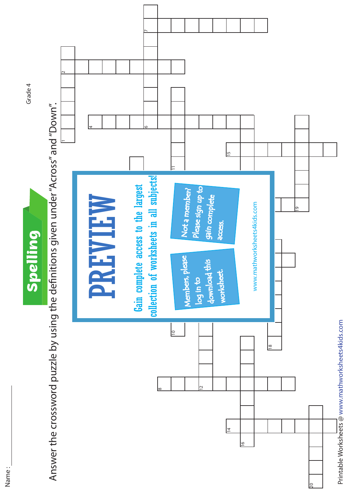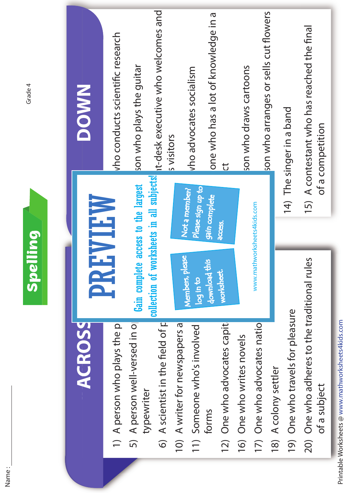|                                                    | <b>Spelling</b>                     |                                           | Grade 4                                               |
|----------------------------------------------------|-------------------------------------|-------------------------------------------|-------------------------------------------------------|
| <b>ACROSS</b>                                      |                                     | WHEW                                      | <b>NWOOD</b>                                          |
| 1) A person who plays the pi                       | E                                   |                                           | vho conducts scientific research                      |
| 5) A person well-versed in o<br>typewriter         | Gain complete access to the largest |                                           | son who plays the guitar                              |
| A scientist in the field of p<br>$\widehat{\circ}$ |                                     | collection of worksheets in all subjects! | it-desk executive who welcomes and                    |
| A writer for newspapers a<br>$\overline{10}$       | Members, please                     | Not a member?                             | s visitors                                            |
| Someone who's involved<br>$\left(1\right)$         | log in to                           | Please sign up to                         | vho advocates socialism                               |
| 12) One who advocates capit<br>forms               | download this<br>worksheet.         | gain complete<br>access.                  | one who has a lot of knowledge in a<br>$\overline{U}$ |
|                                                    |                                     |                                           |                                                       |
| 16) One who writes novels                          |                                     |                                           | son who draws cartoons                                |
| 17) One who advocates natio                        |                                     | www.mathworksheets4kids.com               |                                                       |
| A colony settler<br>18)                            |                                     |                                           | son who arranges or sells cut flowers                 |
| 19) One who travels for pleasure                   |                                     |                                           | 14) The singer in a band                              |
| 20) One who adheres to the traditional rules       |                                     |                                           | 15) A contestant who has reached the final            |
| of a subject                                       |                                     |                                           | of a competition                                      |
|                                                    |                                     |                                           |                                                       |

Grade 4

Name :

Printable Worksheets @ www.mathworksheets4kids.com @www.mathworksheets4kids.co

٤